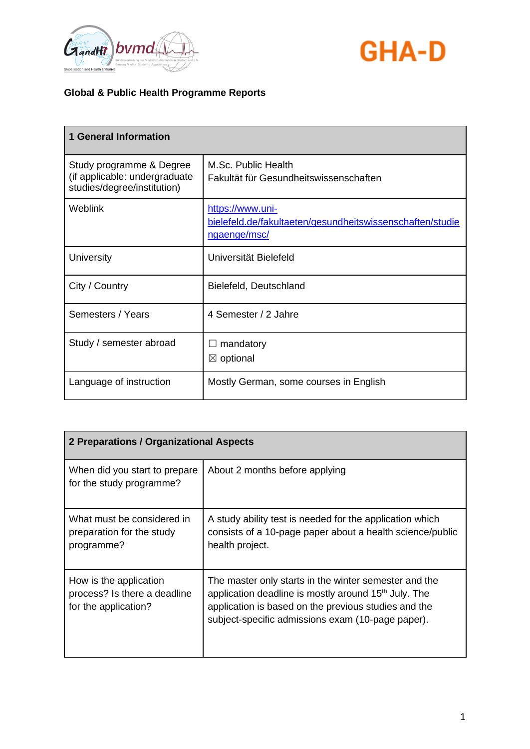



| <b>1 General Information</b>                                                             |                                                                                               |
|------------------------------------------------------------------------------------------|-----------------------------------------------------------------------------------------------|
| Study programme & Degree<br>(if applicable: undergraduate<br>studies/degree/institution) | M.Sc. Public Health<br>Fakultät für Gesundheitswissenschaften                                 |
| <b>Weblink</b>                                                                           | https://www.uni-<br>bielefeld.de/fakultaeten/gesundheitswissenschaften/studie<br>ngaenge/msc/ |
| University                                                                               | Universität Bielefeld                                                                         |
| City / Country                                                                           | Bielefeld, Deutschland                                                                        |
| Semesters / Years                                                                        | 4 Semester / 2 Jahre                                                                          |
| Study / semester abroad                                                                  | mandatory<br>$\boxtimes$ optional                                                             |
| Language of instruction                                                                  | Mostly German, some courses in English                                                        |

| 2 Preparations / Organizational Aspects                                        |                                                                                                                                                                                                                                        |
|--------------------------------------------------------------------------------|----------------------------------------------------------------------------------------------------------------------------------------------------------------------------------------------------------------------------------------|
| When did you start to prepare<br>for the study programme?                      | About 2 months before applying                                                                                                                                                                                                         |
| What must be considered in<br>preparation for the study<br>programme?          | A study ability test is needed for the application which<br>consists of a 10-page paper about a health science/public<br>health project.                                                                                               |
| How is the application<br>process? Is there a deadline<br>for the application? | The master only starts in the winter semester and the<br>application deadline is mostly around 15 <sup>th</sup> July. The<br>application is based on the previous studies and the<br>subject-specific admissions exam (10-page paper). |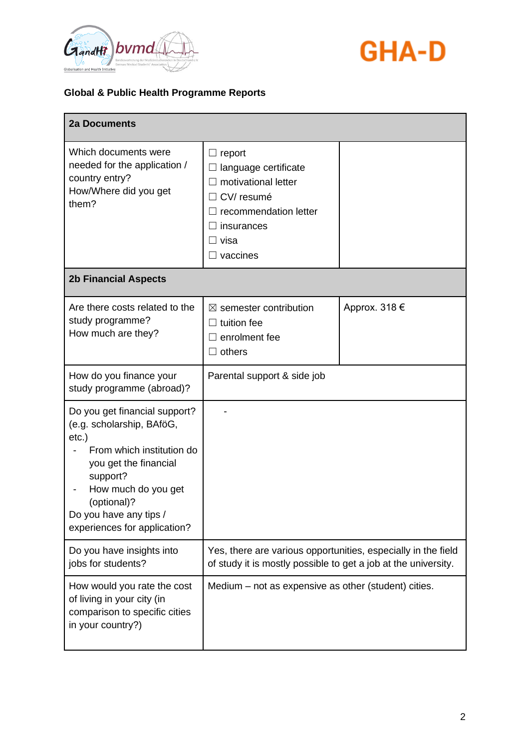



| <b>2a Documents</b>                                                                                                                                                                                                                      |                                                                                                                                      |               |
|------------------------------------------------------------------------------------------------------------------------------------------------------------------------------------------------------------------------------------------|--------------------------------------------------------------------------------------------------------------------------------------|---------------|
| Which documents were<br>needed for the application /<br>country entry?<br>How/Where did you get<br>them?<br><b>2b Financial Aspects</b>                                                                                                  | $\Box$ report<br>language certificate<br>motivational letter<br>CV/resumé<br>recommendation letter<br>insurances<br>visa<br>vaccines |               |
|                                                                                                                                                                                                                                          |                                                                                                                                      |               |
| Are there costs related to the<br>study programme?<br>How much are they?                                                                                                                                                                 | $\boxtimes$ semester contribution<br>tuition fee<br>enrolment fee<br>others                                                          | Approx. 318 € |
| How do you finance your<br>study programme (abroad)?                                                                                                                                                                                     | Parental support & side job                                                                                                          |               |
| Do you get financial support?<br>(e.g. scholarship, BAföG,<br>$etc.$ )<br>From which institution do<br>you get the financial<br>support?<br>How much do you get<br>(optional)?<br>Do you have any tips /<br>experiences for application? |                                                                                                                                      |               |
| Do you have insights into<br>jobs for students?                                                                                                                                                                                          | Yes, there are various opportunities, especially in the field<br>of study it is mostly possible to get a job at the university.      |               |
| How would you rate the cost<br>of living in your city (in<br>comparison to specific cities<br>in your country?)                                                                                                                          | Medium – not as expensive as other (student) cities.                                                                                 |               |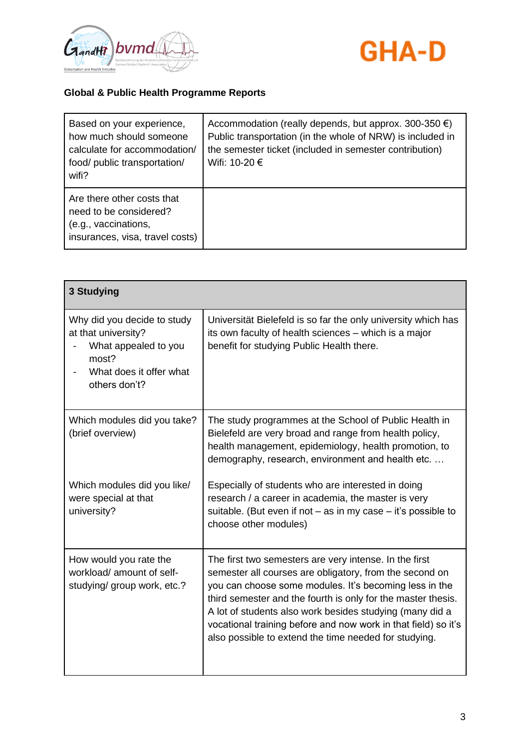



| Based on your experience,<br>how much should someone<br>calculate for accommodation/<br>food/ public transportation/<br>wifi? | Accommodation (really depends, but approx. 300-350 $\epsilon$ )<br>Public transportation (in the whole of NRW) is included in<br>the semester ticket (included in semester contribution)<br>Wifi: 10-20 € |
|-------------------------------------------------------------------------------------------------------------------------------|-----------------------------------------------------------------------------------------------------------------------------------------------------------------------------------------------------------|
| Are there other costs that<br>need to be considered?<br>(e.g., vaccinations,<br>insurances, visa, travel costs)               |                                                                                                                                                                                                           |

| 3 Studying                                                                                                                      |                                                                                                                                                                                                                                                                                                                                                                                                                                    |
|---------------------------------------------------------------------------------------------------------------------------------|------------------------------------------------------------------------------------------------------------------------------------------------------------------------------------------------------------------------------------------------------------------------------------------------------------------------------------------------------------------------------------------------------------------------------------|
| Why did you decide to study<br>at that university?<br>What appealed to you<br>most?<br>What does it offer what<br>others don't? | Universität Bielefeld is so far the only university which has<br>its own faculty of health sciences – which is a major<br>benefit for studying Public Health there.                                                                                                                                                                                                                                                                |
| Which modules did you take?<br>(brief overview)                                                                                 | The study programmes at the School of Public Health in<br>Bielefeld are very broad and range from health policy,<br>health management, epidemiology, health promotion, to<br>demography, research, environment and health etc.                                                                                                                                                                                                     |
| Which modules did you like/<br>were special at that<br>university?                                                              | Especially of students who are interested in doing<br>research / a career in academia, the master is very<br>suitable. (But even if not $-$ as in my case $-$ it's possible to<br>choose other modules)                                                                                                                                                                                                                            |
| How would you rate the<br>workload/ amount of self-<br>studying/ group work, etc.?                                              | The first two semesters are very intense. In the first<br>semester all courses are obligatory, from the second on<br>you can choose some modules. It's becoming less in the<br>third semester and the fourth is only for the master thesis.<br>A lot of students also work besides studying (many did a<br>vocational training before and now work in that field) so it's<br>also possible to extend the time needed for studying. |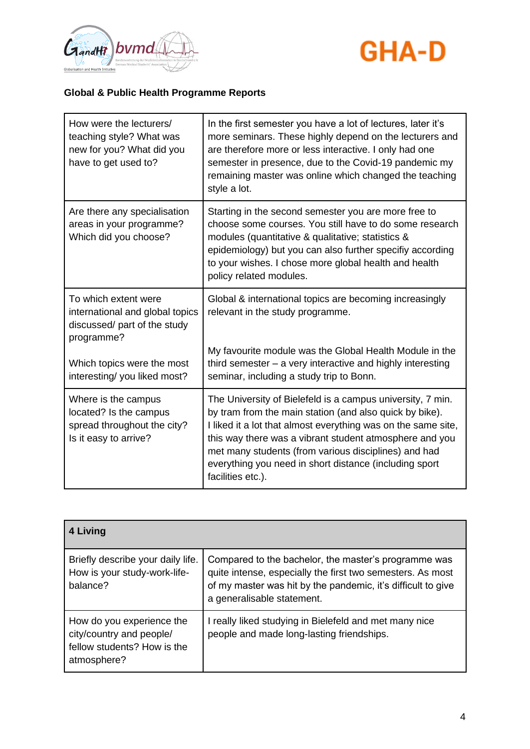



| How were the lecturers/<br>teaching style? What was<br>new for you? What did you<br>have to get used to? | In the first semester you have a lot of lectures, later it's<br>more seminars. These highly depend on the lecturers and<br>are therefore more or less interactive. I only had one<br>semester in presence, due to the Covid-19 pandemic my<br>remaining master was online which changed the teaching<br>style a lot.                                                                     |
|----------------------------------------------------------------------------------------------------------|------------------------------------------------------------------------------------------------------------------------------------------------------------------------------------------------------------------------------------------------------------------------------------------------------------------------------------------------------------------------------------------|
| Are there any specialisation<br>areas in your programme?<br>Which did you choose?                        | Starting in the second semester you are more free to<br>choose some courses. You still have to do some research<br>modules (quantitative & qualitative; statistics &<br>epidemiology) but you can also further specifiy according<br>to your wishes. I chose more global health and health<br>policy related modules.                                                                    |
| To which extent were<br>international and global topics<br>discussed/ part of the study<br>programme?    | Global & international topics are becoming increasingly<br>relevant in the study programme.                                                                                                                                                                                                                                                                                              |
| Which topics were the most<br>interesting/you liked most?                                                | My favourite module was the Global Health Module in the<br>third semester $-$ a very interactive and highly interesting<br>seminar, including a study trip to Bonn.                                                                                                                                                                                                                      |
| Where is the campus<br>located? Is the campus<br>spread throughout the city?<br>Is it easy to arrive?    | The University of Bielefeld is a campus university, 7 min.<br>by tram from the main station (and also quick by bike).<br>I liked it a lot that almost everything was on the same site,<br>this way there was a vibrant student atmosphere and you<br>met many students (from various disciplines) and had<br>everything you need in short distance (including sport<br>facilities etc.). |

| 4 Living                                                                                            |                                                                                                                                                                                                                  |
|-----------------------------------------------------------------------------------------------------|------------------------------------------------------------------------------------------------------------------------------------------------------------------------------------------------------------------|
| Briefly describe your daily life.<br>How is your study-work-life-<br>balance?                       | Compared to the bachelor, the master's programme was<br>quite intense, especially the first two semesters. As most<br>of my master was hit by the pandemic, it's difficult to give<br>a generalisable statement. |
| How do you experience the<br>city/country and people/<br>fellow students? How is the<br>atmosphere? | I really liked studying in Bielefeld and met many nice<br>people and made long-lasting friendships.                                                                                                              |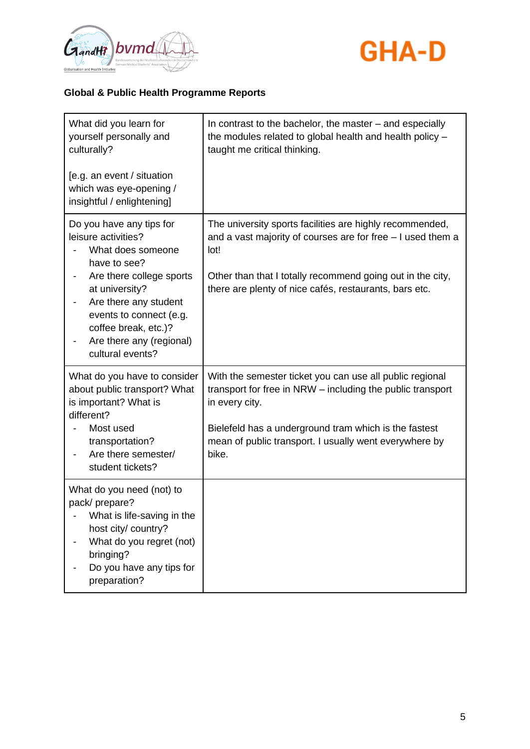



| What did you learn for<br>yourself personally and<br>culturally?                                                                                                                                                                                               | In contrast to the bachelor, the master - and especially<br>the modules related to global health and health policy -<br>taught me critical thinking.                                                                                                                 |
|----------------------------------------------------------------------------------------------------------------------------------------------------------------------------------------------------------------------------------------------------------------|----------------------------------------------------------------------------------------------------------------------------------------------------------------------------------------------------------------------------------------------------------------------|
| [e.g. an event / situation<br>which was eye-opening /<br>insightful / enlightening]                                                                                                                                                                            |                                                                                                                                                                                                                                                                      |
| Do you have any tips for<br>leisure activities?<br>What does someone<br>have to see?<br>Are there college sports<br>at university?<br>Are there any student<br>events to connect (e.g.<br>coffee break, etc.)?<br>Are there any (regional)<br>cultural events? | The university sports facilities are highly recommended,<br>and a vast majority of courses are for free - I used them a<br>lot!<br>Other than that I totally recommend going out in the city,<br>there are plenty of nice cafés, restaurants, bars etc.              |
| What do you have to consider<br>about public transport? What<br>is important? What is<br>different?<br>Most used<br>transportation?<br>Are there semester/<br>student tickets?                                                                                 | With the semester ticket you can use all public regional<br>transport for free in NRW - including the public transport<br>in every city.<br>Bielefeld has a underground tram which is the fastest<br>mean of public transport. I usually went everywhere by<br>bike. |
| What do you need (not) to<br>pack/prepare?<br>What is life-saving in the<br>host city/ country?<br>What do you regret (not)<br>bringing?<br>Do you have any tips for<br>preparation?                                                                           |                                                                                                                                                                                                                                                                      |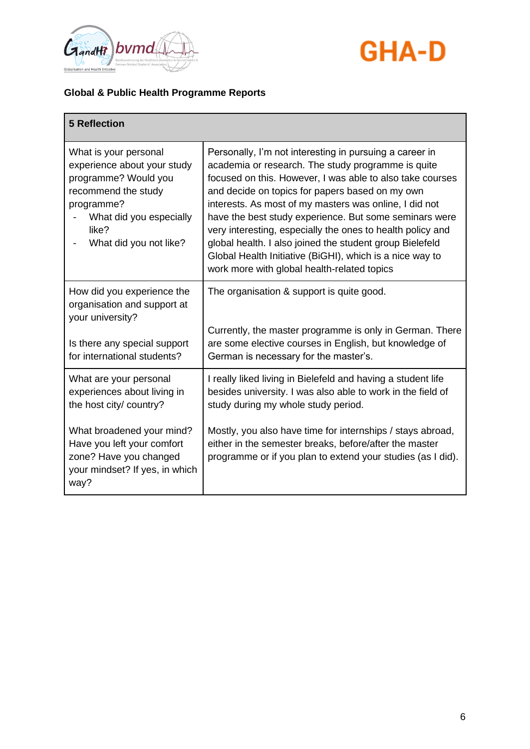



| <b>5 Reflection</b>                                                                                                                                                             |                                                                                                                                                                                                                                                                                                                                                                                                                                                                                                                                                                                        |
|---------------------------------------------------------------------------------------------------------------------------------------------------------------------------------|----------------------------------------------------------------------------------------------------------------------------------------------------------------------------------------------------------------------------------------------------------------------------------------------------------------------------------------------------------------------------------------------------------------------------------------------------------------------------------------------------------------------------------------------------------------------------------------|
| What is your personal<br>experience about your study<br>programme? Would you<br>recommend the study<br>programme?<br>What did you especially<br>like?<br>What did you not like? | Personally, I'm not interesting in pursuing a career in<br>academia or research. The study programme is quite<br>focused on this. However, I was able to also take courses<br>and decide on topics for papers based on my own<br>interests. As most of my masters was online, I did not<br>have the best study experience. But some seminars were<br>very interesting, especially the ones to health policy and<br>global health. I also joined the student group Bielefeld<br>Global Health Initiative (BiGHI), which is a nice way to<br>work more with global health-related topics |
| How did you experience the<br>organisation and support at<br>your university?<br>Is there any special support<br>for international students?                                    | The organisation & support is quite good.<br>Currently, the master programme is only in German. There<br>are some elective courses in English, but knowledge of                                                                                                                                                                                                                                                                                                                                                                                                                        |
| What are your personal<br>experiences about living in<br>the host city/ country?                                                                                                | German is necessary for the master's.<br>I really liked living in Bielefeld and having a student life<br>besides university. I was also able to work in the field of<br>study during my whole study period.                                                                                                                                                                                                                                                                                                                                                                            |
| What broadened your mind?<br>Have you left your comfort<br>zone? Have you changed<br>your mindset? If yes, in which<br>way?                                                     | Mostly, you also have time for internships / stays abroad,<br>either in the semester breaks, before/after the master<br>programme or if you plan to extend your studies (as I did).                                                                                                                                                                                                                                                                                                                                                                                                    |